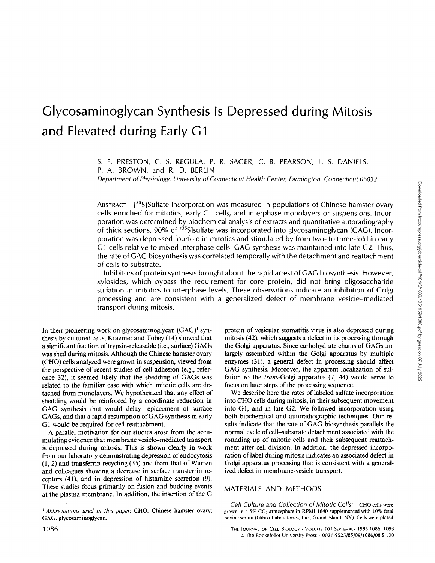# Downloaded from http://rupress.org/jcb/article-pdf/101/3/1086/1051959/1086.pdf by guest on 07 July 2022 Downloaded from http://rupress.org/jcb/article-pdf/101/3/1086/1051959/1086.pdf by guest on 07 July 2022

# **Glycosaminoglycan Synthesis Is Depressed during Mitosis and Elevated during Early G1**

S. F. PRESTON, C. S. REGULA, P. R. SAGER, C. B. PEARSON, L. S. DANIELS, P. A. BROWN, and R. D. BERLIN

*Department of Physiology, University of Connecticut Health Center, Farmington, Connecticut 06032* 

ABSTRACT [35S]Sulfate incorporation was measured in populations of Chinese hamster ovary cells enriched for mitotics, early G1 cells, and interphase monolayers or suspensions. Incorporation was determined by biochemical analysis of extracts and quantitative autoradiography of thick sections. 90% of  $[35S]$ sulfate was incorporated into glycosaminoglycan (GAG). Incorporation was depressed fourfold in mitotics and stimulated by from two- to three-fold in early G1 cells relative to mixed interphase cells. GAG synthesis was maintained into late G2. Thus, the rate of GAG biosynthesis was correlated temporally with the detachment and reattachment of cells to substrate.

Inhibitors of protein synthesis brought about the rapid arrest of GAG biosynthesis. However, xylosides, which bypass the requirement for core protein, did not bring oligosaccharide sulfation in mitotics to interphase levels. These observations indicate an inhibition of Golgi processing and are consistent with a generalized defect of membrane vesicle-mediated transport during mitosis.

In their pioneering work on glycosaminoglycan  $(GAG)^{1}$  synthesis by cultured cells, Kraemer and Tobey (14) showed that a significant fraction of trypsin-releasable (i.e., surface) GAGs was shed during mitosis. Although the Chinese hamster ovary (CHO) cells analyzed were grown in suspension, viewed from the perspective of recent studies of cell adhesion (e.g., reference 32), it seemed likely that the shedding of GAGs was related to the familiar ease with which mitotic cells are detached from monolayers. We hypothesized that any effect of shedding would be reinforced by a coordinate reduction in GAG synthesis that would delay replacement of surface GAGs, and that a rapid resumption of GAG synthesis in early G1 would be required for cell reattachment.

A parallel motivation for our studies arose from the accumulating evidence that membrane vesicle-mediated transport is depressed during mitosis. This is shown clearly in work from our laboratory demonstrating depression of endocytosis  $(1, 2)$  and transferrin recycling  $(35)$  and from that of Warren and colleagues showing a decrease in surface transferrin receptors (41), and in depression of histamine secretion (9). These studies focus primarily on fusion and budding events at the plasma membrane. In addition, the insertion of the G protein of vesicular stomatitis virus is also depressed during mitosis (42), which suggests a defect in its processing through the Golgi apparatus. Since carbohydrate chains of GAGs are largely assembled within the Golgi apparatus by multiple enzymes (31), a general defect in processing should affect GAG synthesis. Moreover, the apparent localization of sulfation to the *trans-Golgi apparatus* (7, 44) would serve to focus on later steps of the processing sequence.

We describe here the rates of labeled sulfate incorporation into CHO cells during mitosis, in their subsequent movement into G1, and in late G2. We followed incorporation using both biochemical and autoradiographic techniques. Our results indicate that the rate of GAG biosynthesis parallels the normal cycle of cell-substrate detachment associated with the rounding up of mitotic cells and their subsequent reattachment after cell division. In addition, the depressed incorporation of label during mitosis indicates an associated defect in Golgi apparatus processing that is consistent with a generalized defect in membrane-vesicle transport.

### MATERIALS AND METHODS

*Cell Culture and Collection of Mitotic Cells:* CHO cells were grown in a 5% CO<sub>2</sub> atmosphere in RPMI 1640 supplemented with 10% fetal bovine serum (Gibco Laboratories, Inc., Grand Island, NY). Cells were plated

*t Abbreviations used in this paper.* CHO, Chinese hamster ovary; GAG, glycosaminoglycan.

<sup>1086</sup> THE JOURNAL Of CELL BIOLOGY • VOLUME 101 SEPTEMBER 1985 1086 1093 © The Rockefeller University Press • 0021-9525/85/09/1086/08 \$1.00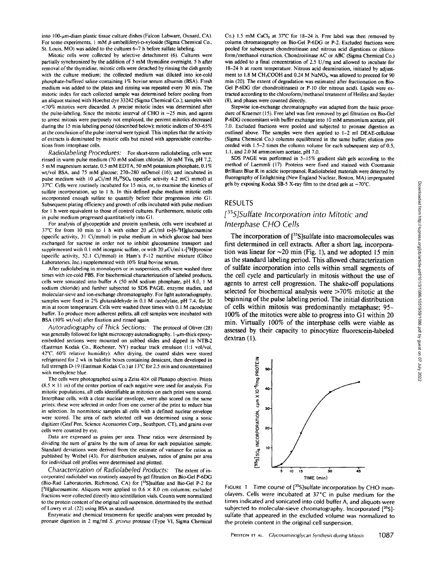into 100-um-diam plastic tissue culture dishes (Falcon Labware, Oxnard, CA). For some experiments, 1 mM  $\beta$ -umbelliferyl-p-xyloside (Sigma Chemical Co., St. Louis, MO) was added to the cultures 6-7 h before sulfate labeling.

Mitotic cells were collected by selective detachment (6). Cultures were partially synchronized by the addition of 5 mM thymidine overnight. 5 h after removal of the thymidine, mitotic cells were detached by rinsing the dish gently with the culture medium; the collected medium was diluted into ice-cold phosphate-buffered saline containing 1% bovine serum albumin (BSA). Fresh medium was added to the plates and rinsing was repeated every 30 min. The mitotic index for each collected sample was determined before pooling from an aliquot stained with Hoechst dye 33242 (Sigma Chemical Co.); samples with <70% mitotics were discarded. A precise mitotic index was determined after the pulse-labeling. Since the mitotic interval of CHO is  $\sim$ 25 min, and agents to arrest mitosis were purposely not employed, the percent mitoties decreased during the 15 min labeling period (described below); mitotic indices of 50-65% at the conclusion of the pulse interval were typical. This implies that the activity of extracts is dominated by mitotic cells but mixed with appreciable contributions from interphase cells.

*Radiolabeling Procedures:* For short-term radiolabeling, cells were rinsed in warm pulse medium (70 mM sodium chloride, 30 mM Tris, pH 7.2, 5 mM magnesium acetate, 0.5 mM EDTA, 50 mM potassium phosphate, 0. I% wt/vol BSA, and 75 mM glucose; 270-280 mOsmol (16); and incubated in pulse medium with 10  $\mu$ Ci/ml H<sub>2</sub><sup>35</sup>SO<sub>4</sub> (specific activity 4.2 mCi mmol) at 37"C. Cells were routinely incubated for 15 min, or, to examine the kinetics of sulfate incorporation, up to l h. In this defined pulse medium mitotic cells incorporated enough sulfate to quantify before their progression into Gl. Subsequent plating efficiency and growth of cells incubated with pulse medium for 1 h were equivalent to those of control cultures. Furthermore, mitotic cells in pulse medium progressed quantitatively into G1.

For analysis of glycopeptide and protein synthesis, cells were incubated at 37°C for from 10 min to 1 h with either 20  $\mu$ Ci/ml D-[6-<sup>3</sup>H]glucosamine (specific activity, 31 Ci/mmol) in pulse medium in which glucose had been exchanged for sucrose in order not to inhibit glucosamine transport and supplemented with 0.1 mM inorganic sulfate, or with 20  $\mu$ Ci/ml L-[<sup>3</sup>H]tyrosine (specific activity, 52.1 Ci/mmol) in Ham's F-12 nutritive mixture (Gibeo Laboratories, Inc.) supplemented with 10% fetal bovine serum.

After radiolabeling in monolayers or in suspension, cells were washed three times with ice-cold PBS. For biochemical characterization of labeled products, cells were sonicated into buffer A (50 mM sodium phosphate, pH 8.0, l M sodium chloride) and further subjected to SDS PAGE, enzyme studies, and molecular-sieve and ion-exchange chromatography. For light autoradiography, samples were fixed in 2% glutaraldehyde in 0.1 M cacodylate, pH 7.4, for 30 min at room temperature. Cells were washed three times with 0.1 M cacodylate buffer. To produce more adherent pellets, all cell samples were incubated with BSA (10% wt/vol) after fixation and rinsed again.

*Autoradiography of Thick Sections:* The protocol of Oliver (28) was generally followed for light microscopy autoradiography.  $1-\mu m$ -thick epoxyembedded sections were mounted on subbed slides and dipped in NTB-2 (Eastman Kodak Co., Rochester, NY) nuclear track emulsion (l:l vol/vol, 42"C, 60% relative humidity). After drying, the coated slides were stored refrigerated for 2 wk in bakelite boxes containing dessicant, then developed in full strength D-19 (Eastman Kodak Co.) at 13°C for 2.5 min and counterstained with methylene blue.

The cells were photographed using a Zeiss 40x oil Planapo objective. Prints  $(8.5 \times 11)$  in) of the center portion of each negative were used for analysis. For mitotic populations, all cells identifiable as mitotics on each print were scored. Interphase cells, with a clear nuclear envelope, were also scored on the same prints; these were selected in order from one corner of the print to reduce bias in selection. In nonmitotic samples all cells with a defined nuclear envelope were scored. The area of each selected cell was determined using a sonic digitizer (Graf Pen, Science Accessories Corp., Southport, CT), and grains over cells were counted by eye.

Data are expressed as grains per area. These ratios were determined by dividing the sum of grains by the sum of areas for each population sample. Standard deviations were derived from the estimate of variance for ratios as published by Weibel (43). For distribution analyses, ratios of grains per area for individual cell profiles were determined and plotted.

*Characterization of Radiolabeled Products:* The extent of incorporated radiolabel was routinely assayed by gel filtration on Bio-Gel P-6DG (Bio-Rad Laboratories, Richmond, CA) for [35S]sulfate and Bio-Gel P-2 for [<sup>3</sup>H]glucosamine. Aliquots were applied to  $0.6 \times 8.0$  cm columns; excluded fractions were collected directly into scintillation vials. Counts were normalized to the protein content of the original cell suspension, determined by the method of Lowry et al. (22) using BSA as standard.

Enzymatic and chemical treatments for specific analyses were preceded by pronase digestion in 2 mg/ml *S. griseus* protease (Type VI, Sigma Chemical

Co.) 1.5 mM CaCl<sub>2</sub> at 37°C for 18-24 h. Free label was then removed by column chromatography on Bio-Gel P-6DG or P-2. Excluded fractions were pooled for subsequent chondroitinase and nitrous acid digestions or chloroform/methanol extraction. Chondroitinase AC or ABC (Sigma Chemical Co.) was added to a final concentration of 2.5 U/mg and allowed to incubate for 18-24 h at room temperature. Nitrous acid deamination, initiated by adjustment to 1.8 M CH<sub>3</sub>COOH and 0.24 M NaNO<sub>3</sub>, was allowed to proceed for 90 min (20). The extent of degradation was estimated after fractionation on Bio-Gel P-6DG (for chondroitinases) or P-10 (for nitrous acid). Lipids were extracted according to the chloroform/methanol treatment of Heifetz and Snyder (8), and phases were counted directly.

Stepwise ion-exchange chromatography was adapted from the basic procedure of Kraemer (15). Free label was first removed by gel filtration on Bio-Gel P-6DG concomitant with buffer exchange into 10 mM ammonium acetate, pH 7.0. Excluded fractions were pooled and subjected to pronase digestion as outlined above. The samples were then applied to 1-2 ml DEAE-cellulose (Sigma Chemical Co.) columns equilibrated in the same buffer; elution proceeded with 1.5-2 times the column volume for each subsequent step of 0.5, 1.1, and 2.0 M ammonium acetate, pH 7.0.

SDS PAGE was performed in 5-15% gradient slab gels according to the method of Laemmli (17). Proteins were fixed and stained with Coomassie Brilliant Blue R in acidic isopropanol. Radiolabeled materials were detected by fluorography of Enlightning (New England Nuclear, Boston, MA) impregnated gels by exposing Kodak SB-5 X-ray film to the dried gels at  $-70^{\circ}$ C.

### **RESULTS**

# *[3sS]Sulfate Incorporation into Mitotic and Interphase* **CHO** *Cells*

**The incorporation of [35S]sulfate into macromolecules was first determined in cell extracts. After a short lag, incorporation was linear for ~20 min (Fig. 1), and we adopted 15 min as the standard labeling period. This allowed characterization of sulfate incorporation into cells within small segments of the cell cycle and particularly in mitosis without the use of agents to arrest cell progression. The shake-off populations selected for biochemical analysis were >70% mitotic at the beginning of the pulse labeling period. The initial distribution of cells within mitosis was predominantly metaphase; 95- 100% of the mitotics were able to progress into G1 within 20 min. Virtually I00% of the interphase cells were viable as assessed by their capacity to pinocytize fluorescein-labeled dextran (1).** 



FIGURE 1 Time course of [35S] sulfate incorporation by CHO monolayers. Cells were incubated at 37°C in pulse medium *for* the times indicated and sonicated into cold buffer A, and aliquots were subjected to molecular-sieve chromatography. Incorporated [35S]sulfate that appeared in the excluded volume was normalized to the protein content in the original cell suspension.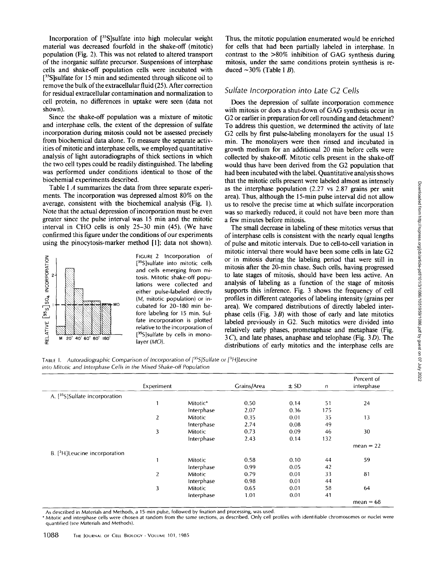Incorporation of [<sup>35</sup>S]sulfate into high molecular weight material was decreased fourfold in the shake-off (mitotic) population (Fig. 2). This was not related to altered transport of the inorganic sulfate precursor. Suspensions of interphase cells and shake-off population cells were incubated with [<sup>35</sup>S]sulfate for 15 min and sedimented through silicone oil to remove the bulk of the extracellular fluid (25). After correction for residual extracellular contamination and normalization to cell protein, no differences in uptake were seen (data not shown).

Since the shake-off population was a mixture of mitotic and interphase cells, the extent of the depression of sulfate incorporation during mitosis could not be assessed precisely from biochemical data alone. To measure the separate activities of mitotic and interphase cells, we employed quantitative analysis of light autoradiographs of thick sections in which the two cell types could be readily distinguished. The labeling was performed under conditions identical to those of the biochemial experiments described.

Table I A summarizes the data from three separate experiments. The incorporation was depressed almost 80% on the average, consistent with the biochemical analysis (Fig. 1). Note that the actual depression of incorporation must be even greater since the pulse interval was 15 min and the mitotic interval in CHO cells is only 25-30 min (45). (We have confirmed this figure under the conditions of our experiments using the pinocytosis-marker method [1]; data not shown).



FIGURE 2 Incorporation of [<sup>35</sup>S]sulfate into mitotic cells and cells emerging from mitosis. Mitotic shake-off populations were collected and either pulse-labeled directly (M, mitotic population) or incubated for 20-180 min before labeling for 15 min. Sulfate incorporation is plotted relative to the incorporation of [<sup>35</sup>S]sulfate by cells in monolayer *(MO).* 

Thus, the mitotic population enumerated would be enriched for cells that had been partially labeled in interphase. In contrast to the >80% inhibition of GAG synthesis during mitosis, under the same conditions protein synthesis is reduced  $\sim$ 30% (Table I *B*).

### *Sulfate Incorporation into Late C2 Cells*

Does the depression of sulfate incorporation commence with mitosis or does a shut-down of GAG synthesis occur in G2 or earlier in preparation for cell rounding and detachment? To address this question, we determined the activity of late G2 cells by first pulse-labeling monolayers for the usual 15 min. The monolayers were then rinsed and incubated in growth medium for an additional 20 min before cells were collected by shake-off. Mitotic cells present in the shake-off would thus have been derived from the G2 population that had been incubated with the label. Quantitative analysis shows that the mitotic cells present were labeled almost as intensely as the interphase population (2.27 vs 2.87 grains per unit area). Thus, although the 15-min pulse interval did not allow us to resolve the precise time at which sulfate incorporation was so markedly reduced, it could not have been more than a few minutes before mitosis.

The small decrease in labeling of these mitotics versus that of interphase cells is consistent with the nearly equal lengths of pulse and mitotic intervals. Due to cell-to-cell variation in mitotic interval there would have been some cells in late G2 or in mitosis during the labeling period that were still in mitosis after the 20-min chase. Such cells, having progressed to late stages of mitosis, should have been less active. An analysis of labeling as a function of the stage of mitosis supports this inference. Fig. 3 shows the frequency of cell profiles in different categories of labeling intensity (grains per area). We compared distributions of directly labeled interphase cells (Fig.  $3B$ ) with those of early and late mitotics labeled previously in G2. Such mitotics were divided into relatively early phases, prometaphase and metaphase (Fig.  $3C$ ), and late phases, anaphase and telophase (Fig. 3D). The distributions of early mitotics and the interphase cells are

TABLE I. *Autoradiographic Comparison of Incorporation of [3sS]Sulfate or [3H]Leucine into Mitotic and Interphase Cells in the Mixed Shake-off Population* 

|                                              | Experiment     |                | Grains/Area | ± SD | $\sqrt{n}$ | Percent of<br>interphase |
|----------------------------------------------|----------------|----------------|-------------|------|------------|--------------------------|
| A. [ <sup>35</sup> S]Sulfate incorporation   |                |                |             |      |            |                          |
|                                              | $\mathbf{1}$   | Mitotic*       | 0.50        | 0.14 | 51         | 24                       |
|                                              |                | Interphase     | 2.07        | 0.36 | 175        |                          |
|                                              | $\overline{2}$ | <b>Mitotic</b> | 0.35        | 0.01 | 35         | 13                       |
|                                              |                | Interphase     | 2.74        | 0.08 | 49         |                          |
|                                              | 3              | <b>Mitotic</b> | 0.73        | 0.09 | 46         | 30                       |
|                                              |                | Interphase     | 2.43        | 0.14 | 132        |                          |
|                                              |                |                |             |      |            | $mean = 22$              |
| $B.$ [ <sup>3</sup> H] Leucine incorporation |                |                |             |      |            |                          |
|                                              | 1              | <b>Mitotic</b> | 0.58        | 0.10 | 44         | 59                       |
|                                              |                | Interphase     | 0.99        | 0.05 | 42         |                          |
|                                              | $\overline{2}$ | <b>Mitotic</b> | 0.79        | 0.01 | 33         | 81                       |
|                                              |                | Interphase     | 0.98        | 0.01 | 44         |                          |
|                                              | 3              | Mitotic        | 0.65        | 0.01 | 58         | 64                       |
|                                              |                | Interphase     | 1,01        | 0.01 | 41         |                          |
|                                              |                |                |             |      |            | $mean = 68$              |

As described in Materials and Methods, a 15-min pulse, followed by fixation and processing, was used.

\* Mitotic and interphase cells were chosen at random from the same sections, as described. Only cell profiles with identifiable chromosomes or nuclei were quantified (see Materials and Methods).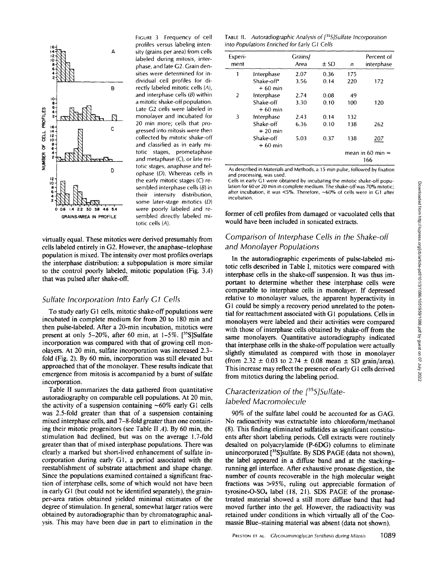

FIGURE 3 Frequency of cell profiles versus labeling inten-<br>A sity (grains per area) from cells sity (grains per area) from cells labeled during mitosis, interphase, and late G2. Grain densities were determined for individual cell profiles for di- $\mathbf{B}$  rectly labeled mitotic cells  $(A)$ . and interphase cells  $(B)$  within Late G2 cells were labeled in collected by mitotic shake-off and classified as in early mitotic stages, prometaphase and metaphase  $(C)$ , or late mitotic stages, anaphase and tel $ophase$  (D). Whereas cells in sembled interphase cells  $(B)$  in their intensity distribution, some later-stage mitotics  $(D)$ were poorly labeled and re-GRAINS/AREA IN PROFILE sembled directly labeled mitotic cells (A).

virtually equal. These mitotics were derived presumably from cells labeled entirely in G2. However, the anaphase-telophase population is mixed. The intensity over most profiles overlaps the interphase distribution: a subpopulation is more similar to the control poorly labeled, mitotic population (Fig.  $3A$ ) that was pulsed after shake-off.

### *Sulfate Incorporation Into Early G I Cells*

To study early G1 cells, mitotic shake-off populations were incubated in complete medium for from 20 to 180 min and then pulse-labeled. After a 20-min incubation, mitotics were present at only 5-20%, after 60 min, at  $1-5\%$ . [<sup>35</sup>S]Sulfate incorporation was compared with that of growing cell monolayers. At 20 min, sulfate incorporation was increased 2.3 fold (Fig. 2). By 60 min, incorporation was still elevated but approached that of the monolayer. These results indicate that emergence from mitosis is accompanied by a burst of sulfate incorporation.

Table II summarizes the data gathered from quantitative autoradiography on comparable cell populations. At 20 min, the activity of a suspension containing  $~60\%$  early G1 cells was 2.5-fold greater than that of a suspension containing mixed interphase cells, and 7-8-fold greater than one containing their mitotic progenitors (see Table II  $A$ ). By 60 min, the stimulation had declined, but was on the average 1.7-fold greater than that of mixed interphase populations. There was clearly a marked but short-lived enhancement of sulfate incorporation during early G1, a period associated with the reestablishment of substrate attachment and shape change. Since the populations examined contained a significant fraction of interphase cells, some of which would not have been in early G1 (but could not be identified separately), the grainper-area ratios obtained yielded minimal estimates of the degree of stimulation. In general, somewhat larger ratios were obtained by autoradiographic than by chromatographic analysis. This may have been due in part to elimination in the

TABLE II. *Autoradiographic Analysis of [35S]Sulfate Incorporation into Populations Enriched for Early G1 Cells* 

| Experi-<br>ment |                         | Grains/<br>Area | $\pm$ SD | n   | Percent of<br>interphase  |  |  |
|-----------------|-------------------------|-----------------|----------|-----|---------------------------|--|--|
| 1               | Interphase              | 2.07            | 0.36     | 175 |                           |  |  |
|                 | Shake-off*<br>$+60$ min | 3.56            | 0.14     | 220 | 172                       |  |  |
| 2               | Interphase              | 2.74            | 0.08     | 49  |                           |  |  |
|                 | Shake-off<br>$+60$ min  | 3.30            | 0.10     | 100 | 120                       |  |  |
| 3               | Interphase              | 2.43            | 0.14     | 132 |                           |  |  |
|                 | Shake-off<br>$+20$ min  | 6.36            | 0.10     | 138 | 262                       |  |  |
|                 | Shake-off<br>$+60$ min  | 5.03            | 0.37     | 138 | 207                       |  |  |
|                 |                         |                 |          |     | mean in 60 min $=$<br>166 |  |  |

As described in Materials and Methods, a 15-min pulse, followed by fixation and processing, was used.

Cells in early  $\tilde{C}1$  were obtained by incubating the mitotic shake-off population for 60 or 20 min in complete medium. The shake-off was 70% mitotic; after incubation, it was <5%. Therefore, ~60% of cells were in G1 after incubation.

former of cell profiles from damaged or vacuolated cells that would have been included in sonicated extracts.

## *Comparison of Interphase Cells in the Shake-off and Monolayer Populations*

In the autoradiographic experiments of pulse-labeled mitotic cells described in Table I, mitotics were compared with interphase cells in the shake-off suspension. It was thus important to determine whether these interphase cells were comparable to interphase cells in monolayer. If depressed relative to monolayer values, the apparent hyperactivity in G1 could be simply a recovery period unrelated to the potential for reattachment associated with G1 populations. Cells in monolayers were labeled and their activities were compared with those of interphase cells obtained by shake-off from the same monolayers. Quantitative autoradiography indicated that interphase cells in the shake-off population were actually slightly stimulated as compared with those in monolayer (from 2.32  $\pm$  0.03 to 2.74  $\pm$  0.08 mean  $\pm$  SD grain/area). This increase may reflect the presence of early GI cells derived from mitotics during the labeling period.

# *Characterization of the [35S/Sulfatelabeled Macromolecule*

90% of the sulfate label could be accounted for as GAG. No radioactivity was extractable into chloroform/methanol (8). This finding eliminated sulfatides as significant constituents after short labeling periods. Cell extracts were routinely desalted on polyacrylamide (P-6DG) columns to eliminate unincorporated [<sup>35</sup>S]sulfate. By SDS PAGE (data not shown), the label appeared in a diffuse band and at the stackingrunning gel interface. After exhaustive pronase digestion, the number of counts recoverable in the high molecular weight fractions was >95%, ruling out appreciable formation of tyrosine-O-SO4 label (18, 21). SDS PAGE of the pronasetreated material showed a still more diffuse band that had moved further into the gel. However, the radioactivity was retained under conditions in which virtually all of the Coomassie Blue-staining material was absent (data not shown).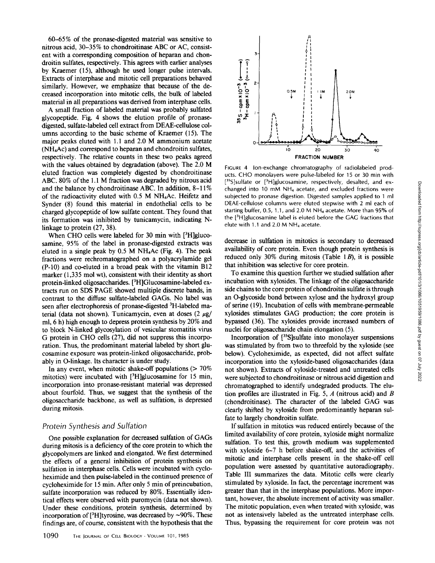60-65% of the pronase-digested material was sensitive to nitrous acid, 30-35% to chondroitinase ABC or AC, consistent with a corresponding composition of heparan and chondroitin sulfates, respectively. This agrees with earlier analyses by Kraemer (15), although he used longer pulse intervals. Extracts of interphase and mitotic cell preparations behaved similarly. However, we emphasize that because of the decreased incorporation into mitotic cells, the bulk of labeled material in all preparations was derived from interphase cells.

A small fraction of labeled material was probably sulfated glycopeptide. Fig. 4 shows the elution profile of pronasedigested, sulfate-labeled cell extract from DEAE-cellulose columns according to the basic scheme of Kraemer (15). The major peaks eluted with 1.1 and 2.0 M ammonium acetate (NH4Ac) and correspond to heparan and chondroitin sulfates, respectively. The relative counts in these two peaks agreed with the values obtained by degradation (above). The 2.0 M eluted fraction was completely digested by chondroitinase ABC. 80% of the 1.1 M fraction was degraded by nitrous acid and the balance by chondroitinase ABC. In addition, 8-11% of the radioactivity eluted with 0.5 M NH4Ac. Heifetz and Synder (8) found this material in endothelial cells to be charged glycopeptide of low sulfate content. They found that its formation was inhibited by tunicamycin, indicating Nlinkage to protein (27, 38).

When CHO cells were labeled for 30 min with  $[3H]$ glucosamine, 95% of the label in pronase-digested extracts was eluted in a single peak by  $0.5$  M NH<sub>4</sub>Ac (Fig. 4). The peak fractions were rechromatographed on a polyacrylamide gel (P-10) and co-eluted in a broad peak with the vitamin B12 marker  $(1,335 \text{ mol wt})$ , consistent with their identity as short protein-linked oligosaccharides. [3H]Glucosamine-labeled extracts run on SDS PAGE showed multiple discrete bands, in contrast to the diffuse sulfate-labeled GAGs. No label was seen after electrophoresis of pronase-digested <sup>3</sup>H-labeled material (data not shown). Tunicamycin, even at doses  $(2 \mu g)$ ml, 6 h) high enough to depress protein synthesis by 20% and to block N-linked glycosylation of vesicular stomatitis virus G protein in CHO cells (27), did not suppress this incorporation. Thus, the predominant material labeled by short glucosamine exposure was protein-linked oligosaccharide, probably in O-linkage. Its character is under study.

In any event, when mitotic shake-off populations  $($  > 70% mitotics) were incubated with  $[3H]$ glucosamine for 15 min, incorporation into pronase-resistant material was depressed about fourfold. Thus, we suggest that the synthesis of the oligosaccharide backbone, as well as sulfation, is depressed during mitosis.

### *Protein Synthesis and Sulfation*

One possible explanation for decreased sulfation of GAGs during mitosis is a deficiency of the core protein to which the glycopolymers are linked and elongated. We first determined the effects of a general inhibition of protein synthesis on sulfation in interphase cells. Cells were incubated with cycloheximide and then pulse-labeled in the continued presence of cycloheximide for 15 min. After only 5 min of preincubation, sulfate incorporation was reduced by 80%. Essentially identical effects were observed with puromycin (data not shown). Under these conditions, protein synthesis, determined by incorporation of [ $3H$ ]tyrosine, was decreased by ~90%. These findings are, of course, consistent with the hypothesis that the



FIGURE 4 Ion-exchange chromatography of radiolabeled products. CHO monolayers were pulse-labeled for 15 or 30 min with  $[35S]$ sulfate or  $[3H]$ glucosamine, respectively, desalted, and exchanged into 10 mM NH4 acetate, and excluded fractions were subjected to pronase digestion. Digested samples applied to 1 ml DEAE-cellulose columns were eluted stepwise with 2 ml each of starting buffer, 0.5, 1.1, and 2.0 M NH4 acetate. More than 95% of the [3H]glucosamine label is eluted before the GAG fractions that elute with 1.1 and 2.0 M NH4 acetate.

decrease in sulfation in mitotics is secondary to decreased availability of core protein. Even though protein synthesis is reduced only 30% during mitosis (Table 1 $B$ ), it is possible that inhibition was selective for core protein.

To examine this question further we studied sulfation after incubation with xylosides. The linkage of the oligosaccharide side chains to the core protein of chondroitin sulfate is through an O-glycoside bond between xylose and the hydroxyl group of serine (19). Incubation of cells with membrane-permeable xylosides stimulates GAG production; the core protein is bypassed (36). The xylosides provide increased numbers of nuclei for oligosaccharide chain elongation (5).

Incorporation of  $[^{35}S]$ sulfate into monolayer suspensions was stimulated by from two to threefold by the xyloside (see below). Cycloheximide, as expected, did not affect sulfate incorporation into the xyloside-based oligosaccharides (data not shown). Extracts of xyloside-treated and untreated cells were subjected to chondroitinase or nitrous acid digestion and chromatographed to identify undegraded products. The elution profiles are illustrated in Fig. 5,  $A$  (nitrous acid) and  $B$ (chondroitinase). The character of the labeled GAG was clearly shifted by xyloside from predominantly heparan sulfate to largely chondroitin sulfate.

If sulfation in mitotics was reduced entirely because of the limited availability of core protein, xyloside might normalize sulfation. To test this, growth medium was supplemented with xyloside 6-7 h before shake-off, and the activities of mitotic and interphase cells present in the shake-off cell population were assessed by quantitative autoradiography. Table III summarizes the data. Mitotic cells were clearly stimulated by xyloside. In fact, the percentage increment was greater than that in the interphase populations. More important, however, the absolute increment of activity was smaller. The mitotic population, even when treated with xyloside, was not as intensively labeled as the untreated interphase cells. Thus, bypassing the requirement for core protein was not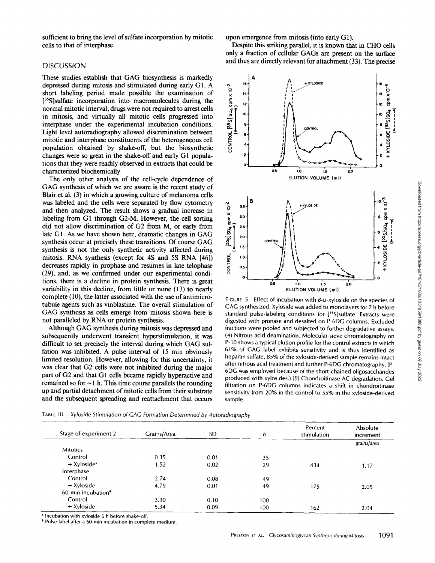sufficient to bring the level of sulfate incorporation by mitotic cells to that of interphase.

### **DISCUSSION**

These studies establish that GAG biosynthesis is markedly depressed during mitosis and stimulated during early G1. A short labeling period made possible the examination of  $[35S]$ sulfate incorporation into macromolecules during the normal mitotic interval; drugs were not required to arrest cells in mitosis, and virtually all mitotic cells progressed into interphase under the experimental incubation conditions. Light level autoradiography allowed discrimination between mitotic and interphase constituents of the heterogeneous cell population obtained by shake-off, but the biosynthetic changes were so great in the shake-off and early G1 populations that they were readily observed in extracts that could be characterized biochemically.

The only other analysis of the cell-cycle dependence of GAG synthesis of which we are aware is the recent study of Blair et al. (3) in which a growing culture of melanoma cells was labeled and the cells were separated by flow cytometry and then analyzed. The result shows a gradual increase in labeling from G1 through G2-M. However, the cell sorting did not allow discrimination of G2 from M, or early from late G1. As we have shown here, dramatic changes in GAG synthesis occur at precisely these transitions. Of course GAG synthesis is not the only synthetic activity affected during mitosis. RNA synthesis (except for 4S and 5S RNA [46]) decreases rapidly in prophase and resumes in late telophase (29), and, as we confirmed under our experimental conditions, there is a decline in protein synthesis. There is great variability in this decline, from little or none (13) to nearly complete (10), the latter associated with the use of antimicrotubule agents such as vinblastine. The overall stimulation of GAG synthesis as cells emerge from mitosis shown here is not paralleled by RNA or protein synthesis.

Although GAG synthesis during mitosis was depressed and subsequently underwent transient hyperstimulation, it was difficult to set precisely the interval during which GAG sulfation was inhibited. A pulse interval of 15 min obviously limited resolution. However, allowing for this uncertainty, it was clear that G2 cells were not inhibited during the major part of G2 and that G1 cells became rapidly hyperactive and remained so for  $\sim$  I h. This time course parallels the rounding up and partial detachment of mitotic ceils from their substrate and the subsequent spreading and reattachment that occurs upon emergence from mitosis (into early G1).

Despite this striking parallel, it is known that in CHO cells only a fraction of cellular GAGs are present on the surface and thus are directly relevant for attachment (33). The precise



FIGURE 5 Effect of incubation with  $\beta$ -p-xyloside on the species of GAG synthesized. Xyloside was added to monolayers for 7 h before standard pulse-labeling conditions for [35S]sulfate. Extracts were digested with pronase and desalted on P-6DG columns. Excluded fractions were pooled and subjected to further degradative assays. (A) Nitrous acid deamination. Molecular-sieve chromatography on P-10 shows a typical elution profile for the control extracts in which 61% of GAG label exhibits sensitivity and is thus identified as heparan sulfate. 85% of the xyloside-derived sample remains intact after nitrous acid treatment and further P-6DG chromatography. (P-6DG was employed because of the short-chained oligosaccharides produced with xylosides.) (B) Chondroitinase AC degradation. Gel filtration on P-6DG columns indicates a shift in chondroitinase sensitivity from 20% in the control to 55% in the xyloside-derived sample.

| Stage of experiment 2          | Grains/Area | SD.  | n   | Percent<br>stimulation | Absolute<br>increment |
|--------------------------------|-------------|------|-----|------------------------|-----------------------|
|                                |             |      |     |                        | grains/area           |
| <b>Mitotics</b>                |             |      |     |                        |                       |
| Control                        | 0.35        | 0.01 | 35  |                        |                       |
| $+$ Xyloside*                  | 1.52        | 0.02 | 29  | 434                    | 1.17                  |
| Interphase                     |             |      |     |                        |                       |
| Control                        | 2.74        | 0.08 | 49  |                        |                       |
| $+$ Xyloside                   | 4.79        | 0.01 | 49  | 175                    | 2.05                  |
| 60-min incubation <sup>*</sup> |             |      |     |                        |                       |
| Control                        | 3.30        | 0.10 | 100 |                        |                       |
| + Xyloside                     | 5.34        | 0.09 | 100 | 162                    | 2.04                  |

TABLE III. *Xyloside Stimulation of GAG Formation Determined by Autoradiography* 

\* Incubation with xyloside 6 h before shake-off.

\* Pulse-label after a 60-rain incubation in complete medium.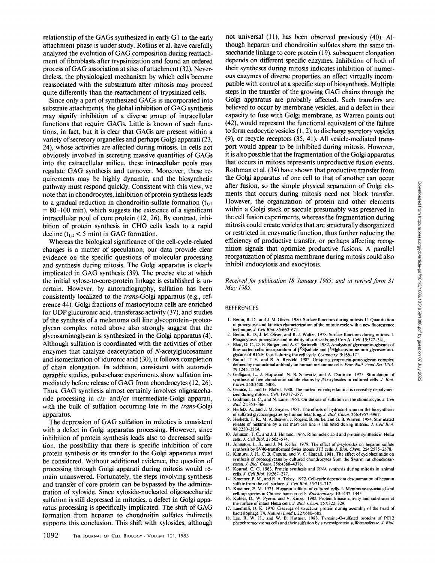relationship of the GAGs synthesized in early G1 to the early attachment phase is under study. Rollins et al. have carefully analyzed the evolution of GAG composition during reattachment of fibroblasts after trypsinization and found an ordered process of GAG association at sites of attachment (32). Nevertheless, the physiological mechanism by which cells become reassociated with the substratum after mitosis may proceed quite differently than the reattachment of trypsinized cells.

Since only a part of synthesized GAGs is incorporated into substrate attachments, the global inhibition of GAG synthesis may signify inhibition of a diverse group of intracellular functions that require GAGs. Little is known of such functions, in fact, but it is clear that GAGs are present within a variety of secretory organelles and perhaps Golgi apparati (23, 24), whose activities are affected during mitosis. In cells not obviously involved in secreting massive quantities of GAGs into the extracellular milieu, these intracellular pools may regulate GAG synthesis and turnover. Moreover, these requirements may be highly dynamic, and the biosynthetic pathway must respond quickly. Consistent with this view, we note that in chondrocytes, inhibition of protein synthesis leads to a gradual reduction in chondroitin sulfate formation  $(t_{1/2})$  $= 80-100$  min), which suggests the existence of a significant intracellular pool of core protein (12, 26). By contrast, inhibition of protein synthesis in CHO cells leads to a rapid decline  $(t_{1/2} < 5 \text{ min})$  in GAG formation.

Whereas the biological significance of the cell-cycle-related changes is a matter of speculation, our data provide clear evidence on the specific questions of molecular processing and synthesis during mitosis. The Golgi apparatus is clearly implicated in GAG synthesis (39). The precise site at which the initial xylose-to-core-protein linkage is established is uncertain. However, by autoradiography, sulfation has been consistently localized to the *trans-Golgi* apparatus (e.g., reference 44). Golgi fractions of mastocytoma cells are enriched for UDP glucuronic acid, transferase activity (37), and studies of the synthesis of a melanoma cell line glycoprotein-proteoglycan complex noted above also strongly suggest that the glycosaminoglycan is synthesized in the Golgi apparatus (4). Although sulfation is coordinated with the activities of other enzymes that catalyze deacetylation of N-acetylglucosamine and isomerization of iduronic acid (30), it follows completion of chain elongation. In addition, consistent with autoradiographic studies, pulse-chase experiments show sulfation immediately before release of GAG from chondrocytes (12, 26). Thus, GAG synthesis almost certainly involves oligosaccharide processing in *cis-* and/or intermediate-Golgi apparati, with the bulk of sulfation occurring late in the *trans-Golgi*  apparatus.

The depression of GAG sulfation in mitotics is consistent with a defect in Golgi apparatus processing. However, since inhibition of protein synthesis leads also to decreased sulfation, the possibility that there is specific inhibition of core protein synthesis or its transfer to the Golgi apparatus must be considered. Without additional evidence, the question of processing through Golgi apparati during mitosis would remain unanswered. Fortunately, the steps involving synthesis and transfer of core protein can be bypassed by the administration of xyloside. Since xyloside-nucleated oligosaccharide sulfation is still depressed in mitotics, a defect in Golgi apparatus processing is specifically implicated. The shift of GAG formation from heparan to chondroitin sulfates indirectly supports this conclusion. This shift with xylosides, although

not universal (11), has been observed previously (40). Although heparan and chondroitin sulfates share the same trisaccharide linkage to core protein (19), subsequent elongation depends on different specific enzymes. Inhibition of both of their syntheses during mitosis indicates inhibition of numerous enzymes of diverse properties, an effect virtually incompatible with control at a specific step of biosynthesis. Multiple steps in the transfer of the growing GAG chains through the Golgi apparatus are probably affected. Such transfers are believed to occur by membrane vesicles, and a defect in their capacity to fuse with Golgi membrane, as Warren points out (42), would represent the functional equivalent of the failure to form endocytic vesicles (1, 2), to discharge secretory vesicles (9), or recycle receptors (35, 41). All vesicle-mediated transport would appear to be inhibited during mitosis. However, it is also possible that the fragmentation of the Golgi apparatus that occurs in mitosis represents unproductive fusion events. Rothman et al. (34) have shown that productive transfer from the Golgi apparatus of one cell to that of another can occur after fusion, so the simple physical separation of Golgi elements that occurs during mitosis need not block transfer. However, the organization of protein and other elements within a Golgi stack or saccule presumably was preserved in the cell fusion experiments, whereas the fragmentation during mitosis could create vesicles that are structurally disorganized or restricted in enzymatic function, thus further reducing the efficiency of productive transfer, or perhaps affecting recognition signals that optimize productive fusions. A parallel reorganization of plasma membrane during mitosis could also inhibit endocytosis and exocytosis.

*Received for publication 18 January 1985, and in revised form 31 May 1985.* 

### REFERENCES

- i. Berlin, R. D., and J. M. Oliver. 1980. Surface functions during mitosis. II. Quantitation of pinocytosis and kinetics characterization of the mitotic cycle with a new fluorescence technique. *J. Cell BioL* 85:660-671.
- 2. Berlin, R. D., J. M. Oliver, and R. J. Walter. I978. Surface functions during mitosis. 1. Phagocytosis, pinocytosis and mobility of surface-bound Con A. *Cell.* 15:327-341.
- 3. Blair, O. C., D. E. Burger, and A. C. Sartorelli. 1982. Analysis of glycosaminoglycans of flow sorted cells: incorporation of  $\left\{^{35}S\right\}$ sulfate and  $\left\{^{34}H\right\}$ glucosamine into glycosaminoglycans of B16-F10 cells during the cell cycle. *Cytometry*. 3:166-171.
- 4. Bumol, T. F., and R. A. Reisfeld. 1982. Unique glycoprotein-proteoglycan complex defined by monoclonal antibody on human melanoma cells. *Proc. NatL Acad Sci. USA.*  79:1245-1249.
- 5. Galligani, L., J. Hopwood, N. B. Schwartz, and A. Dorfman. 1975. Stimulation of synthesis of free chondroitin sulfate chains by  $\beta$ -D-xylosides in cultured cells. *J. Biol. Chem.* 250:5400-5406.
- 6. Gerace, L., and G. Blobel. 1980. The nuclear envelope lamina is reversibly depolymerized during mitosis. *Cell.* 19:277-287.
- 7. Godman, G. C., and N. Lane. 1964. On the site ofsulfation in the chondrocyte. *J. Cell BioL* 21:353-366.
- 8. Heifetz, A., and J. M. Snyder. 1981. The effects of hydrocortisone on the biosynthesis of sulfated glycoconjogates by human fetal lung..L *Biol. Chem.* 256:4957-4967. 9. Hesketh, T. R., M. A. Beaven, J. Rogers, B. Burke, and G. B. Warren. 1984. Stimulated
- release of histamine by a rat mast cell line is inhibited during mitosis. Z *Cell BioL*  98:2250-2254.
- 10. Johnson, T. C., and J. J. Holland. 1965. Ribonucleic acid and protein synthesis in HeLa cells. *J. Cell Biol.* 27:565-574.
- 11. Johnston, L. S., and J. M. Keller. 1979. The effect of β-xylosides on heparan sulfate synthesis by SV40-transformed Swiss mouse 3T3 cells. *J. Biol. Chem.* 254:2575-2578. 12. Kimura, J. H., C. B. Caputo, and V. C. Hascall. 1981. The effect of cycloheximide on
- synthesis of proteoglycans by cultured chondrocytes from the Swarm rat chondrosar-<br>coma. *J. Biol. Chem.* 256:4368–4376.
- 13. Konrad, C. G. 1963. Protein synthesis and RNA synthesis during mitosis in animal cells. J. *Cell Biol.* 19:267-277. 14. Kraemer, P. M., and R. A. Tobey. 1972. Cell-cycle dependent desquamation of heparan
- sulfate from the cell surface. *J. Cell Biol.* 55:713-717 15. Kraemer, P. M. 1971. Heparan sulfates of cultured cells. 1. Membrane-associated and
- cell-sap species in Chinese hamster cells. *Biochemistry*. 10:1437–1445.<br>16. Kubler, D., W. Pyerin, and V. Kinzel. 1982. Protein kinase activity and substrates at the surface of intact HeLa cells. *J. Biol. Chem.* 257:322-
- 17. Laemmli, U. K. 1970. Cleavage of structural protein daring assembly of the head of
- bacteriophage T4. *Nature (Lond.).* 227:680-685. 18. Lee, R. W. H., and W. B. Huttner. 1983. Tyrosine-O-sulfated proteins of PCI2
- pheochromocytoma cells and their sulfalion by a tyrosylprotein sulfotransferase. *J. Biol.*